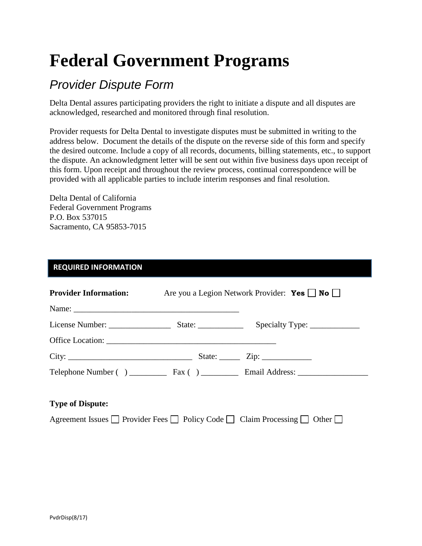# **Federal Government Programs**

## *Provider Dispute Form*

Delta Dental assures participating providers the right to initiate a dispute and all disputes are acknowledged, researched and monitored through final resolution.

Provider requests for Delta Dental to investigate disputes must be submitted in writing to the address below. Document the details of the dispute on the reverse side of this form and specify the desired outcome. Include a copy of all records, documents, billing statements, etc., to support the dispute. An acknowledgment letter will be sent out within five business days upon receipt of this form. Upon receipt and throughout the review process, continual correspondence will be provided with all applicable parties to include interim responses and final resolution.

Delta Dental of California Federal Government Programs P.O. Box 537015 Sacramento, CA 95853-7015

#### **REQUIRED INFORMATION**

| <b>Provider Information:</b> | Are you a Legion Network Provider: <b>Yes</b> $\Box$ <b>No</b> |
|------------------------------|----------------------------------------------------------------|
|                              |                                                                |
|                              |                                                                |
|                              |                                                                |
| City:                        | State: $\frac{\text{Zip: } }{ \text{Up: } \text{Sup: }$        |
|                              |                                                                |
|                              |                                                                |

#### **Type of Dispute:**

Agreement Issues  $\Box$  Provider Fees  $\Box$  Policy Code  $\Box$  Claim Processing  $\Box$  Other  $\Box$